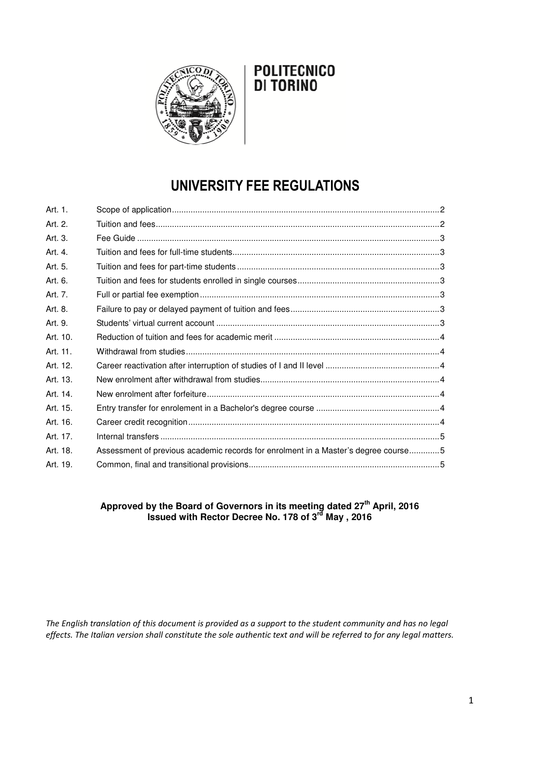

## **POLITECNICO DI TORINO**

# **UNIVERSITY FEE REGULATIONS**

| Art. 1.  |                                                                                    |  |
|----------|------------------------------------------------------------------------------------|--|
| Art. 2.  |                                                                                    |  |
| Art. 3.  |                                                                                    |  |
| Art. 4.  |                                                                                    |  |
| Art. 5.  |                                                                                    |  |
| Art. 6.  |                                                                                    |  |
| Art. 7.  |                                                                                    |  |
| Art. 8.  |                                                                                    |  |
| Art. 9.  |                                                                                    |  |
| Art. 10. |                                                                                    |  |
| Art. 11. |                                                                                    |  |
| Art. 12. |                                                                                    |  |
| Art. 13. |                                                                                    |  |
| Art. 14. |                                                                                    |  |
| Art. 15. |                                                                                    |  |
| Art. 16. |                                                                                    |  |
| Art. 17. |                                                                                    |  |
| Art. 18. | Assessment of previous academic records for enrolment in a Master's degree course5 |  |
| Art. 19. |                                                                                    |  |

## **Approved by the Board of Governors in its meeting dated 27th April, 2016 Issued with Rector Decree No. 178 of 3rd May , 2016**

*The English translation of this document is provided as a support to the student community and has no legal effects. The Italian version shall constitute the sole authentic text and will be referred to for any legal matters.*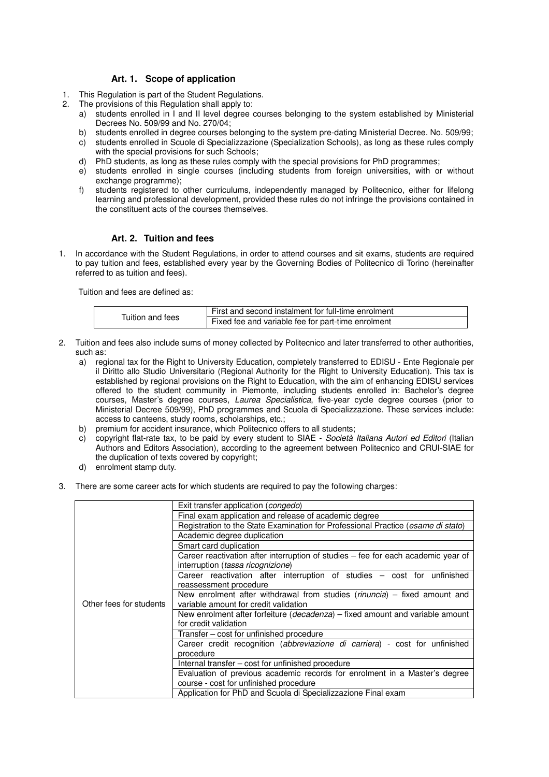#### **Art. 1. Scope of application**

- 1. This Regulation is part of the Student Regulations.
- 2. The provisions of this Regulation shall apply to:
	- a) students enrolled in I and II level degree courses belonging to the system established by Ministerial Decrees No. 509/99 and No. 270/04;
	- b) students enrolled in degree courses belonging to the system pre-dating Ministerial Decree. No. 509/99;
	- c) students enrolled in Scuole di Specializzazione (Specialization Schools), as long as these rules comply with the special provisions for such Schools;
	- d) PhD students, as long as these rules comply with the special provisions for PhD programmes;
	- e) students enrolled in single courses (including students from foreign universities, with or without exchange programme);
	- f) students registered to other curriculums, independently managed by Politecnico, either for lifelong learning and professional development, provided these rules do not infringe the provisions contained in the constituent acts of the courses themselves.

## **Art. 2. Tuition and fees**

1. In accordance with the Student Regulations, in order to attend courses and sit exams, students are required to pay tuition and fees, established every year by the Governing Bodies of Politecnico di Torino (hereinafter referred to as tuition and fees).

Tuition and fees are defined as:

|                  | First and second instalment for full-time enrolment |
|------------------|-----------------------------------------------------|
| Tuition and fees | Fixed fee and variable fee for part-time enrolment  |

- 2. Tuition and fees also include sums of money collected by Politecnico and later transferred to other authorities, such as:
	- a) regional tax for the Right to University Education, completely transferred to EDISU Ente Regionale per il Diritto allo Studio Universitario (Regional Authority for the Right to University Education). This tax is established by regional provisions on the Right to Education, with the aim of enhancing EDISU services offered to the student community in Piemonte, including students enrolled in: Bachelor's degree courses, Master's degree courses, Laurea Specialistica, five-year cycle degree courses (prior to Ministerial Decree 509/99), PhD programmes and Scuola di Specializzazione. These services include: access to canteens, study rooms, scholarships, etc.;
	- b) premium for accident insurance, which Politecnico offers to all students;
	- c) copyright flat-rate tax, to be paid by every student to SIAE Società Italiana Autori ed Editori (Italian Authors and Editors Association), according to the agreement between Politecnico and CRUI-SIAE for the duplication of texts covered by copyright;
	- d) enrolment stamp duty.
- 3. There are some career acts for which students are required to pay the following charges:

|                         | Exit transfer application ( <i>congedo</i> )                                                                           |
|-------------------------|------------------------------------------------------------------------------------------------------------------------|
|                         | Final exam application and release of academic degree                                                                  |
|                         | Registration to the State Examination for Professional Practice (esame di stato)                                       |
|                         | Academic degree duplication                                                                                            |
|                         | Smart card duplication                                                                                                 |
|                         | Career reactivation after interruption of studies – fee for each academic year of<br>interruption (tassa ricognizione) |
|                         | Career reactivation after interruption of studies - cost for unfinished<br>reassessment procedure                      |
|                         | New enrolment after withdrawal from studies ( $r$ inuncia) – fixed amount and                                          |
| Other fees for students | variable amount for credit validation                                                                                  |
|                         | New enrolment after forfeiture ( <i>decadenza</i> ) – fixed amount and variable amount<br>for credit validation        |
|                         | Transfer – cost for unfinished procedure                                                                               |
|                         | Career credit recognition (abbreviazione di carriera) - cost for unfinished<br>procedure                               |
|                         | Internal transfer – cost for unfinished procedure                                                                      |
|                         | Evaluation of previous academic records for enrolment in a Master's degree                                             |
|                         | course - cost for unfinished procedure                                                                                 |
|                         | Application for PhD and Scuola di Specializzazione Final exam                                                          |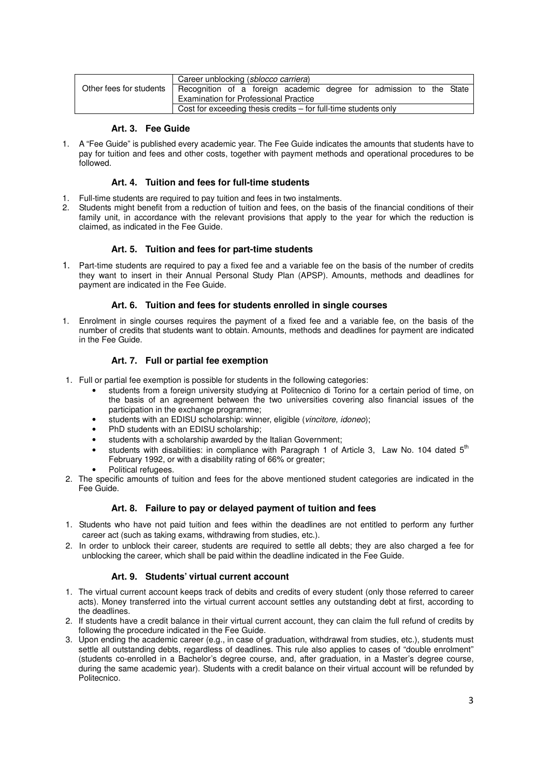|                         | Career unblocking ( <i>sblocco carriera</i> )                       |  |  |  |
|-------------------------|---------------------------------------------------------------------|--|--|--|
| Other fees for students | Recognition of a foreign academic degree for admission to the State |  |  |  |
|                         | <b>Examination for Professional Practice</b>                        |  |  |  |
|                         | Cost for exceeding thesis credits $-$ for full-time students only   |  |  |  |

## **Art. 3. Fee Guide**

1. A "Fee Guide" is published every academic year. The Fee Guide indicates the amounts that students have to pay for tuition and fees and other costs, together with payment methods and operational procedures to be followed.

## **Art. 4. Tuition and fees for full-time students**

- 1. Full-time students are required to pay tuition and fees in two instalments.
- 2. Students might benefit from a reduction of tuition and fees, on the basis of the financial conditions of their family unit, in accordance with the relevant provisions that apply to the year for which the reduction is claimed, as indicated in the Fee Guide.

## **Art. 5. Tuition and fees for part-time students**

1. Part-time students are required to pay a fixed fee and a variable fee on the basis of the number of credits they want to insert in their Annual Personal Study Plan (APSP). Amounts, methods and deadlines for payment are indicated in the Fee Guide.

## **Art. 6. Tuition and fees for students enrolled in single courses**

1. Enrolment in single courses requires the payment of a fixed fee and a variable fee, on the basis of the number of credits that students want to obtain. Amounts, methods and deadlines for payment are indicated in the Fee Guide.

## **Art. 7. Full or partial fee exemption**

- 1. Full or partial fee exemption is possible for students in the following categories:
	- students from a foreign university studying at Politecnico di Torino for a certain period of time, on the basis of an agreement between the two universities covering also financial issues of the participation in the exchange programme;
	- students with an EDISU scholarship: winner, eligible (vincitore, idoneo);
	- PhD students with an EDISU scholarship;
	- students with a scholarship awarded by the Italian Government;
	- students with disabilities: in compliance with Paragraph 1 of Article 3, Law No. 104 dated  $5<sup>th</sup>$ February 1992, or with a disability rating of 66% or greater;
		- Political refugees.
- 2. The specific amounts of tuition and fees for the above mentioned student categories are indicated in the Fee Guide.

#### **Art. 8. Failure to pay or delayed payment of tuition and fees**

- 1. Students who have not paid tuition and fees within the deadlines are not entitled to perform any further career act (such as taking exams, withdrawing from studies, etc.).
- 2. In order to unblock their career, students are required to settle all debts; they are also charged a fee for unblocking the career, which shall be paid within the deadline indicated in the Fee Guide.

#### **Art. 9. Students' virtual current account**

- 1. The virtual current account keeps track of debits and credits of every student (only those referred to career acts). Money transferred into the virtual current account settles any outstanding debt at first, according to the deadlines.
- 2. If students have a credit balance in their virtual current account, they can claim the full refund of credits by following the procedure indicated in the Fee Guide.
- 3. Upon ending the academic career (e.g., in case of graduation, withdrawal from studies, etc.), students must settle all outstanding debts, regardless of deadlines. This rule also applies to cases of "double enrolment" (students co-enrolled in a Bachelor's degree course, and, after graduation, in a Master's degree course, during the same academic year). Students with a credit balance on their virtual account will be refunded by Politecnico.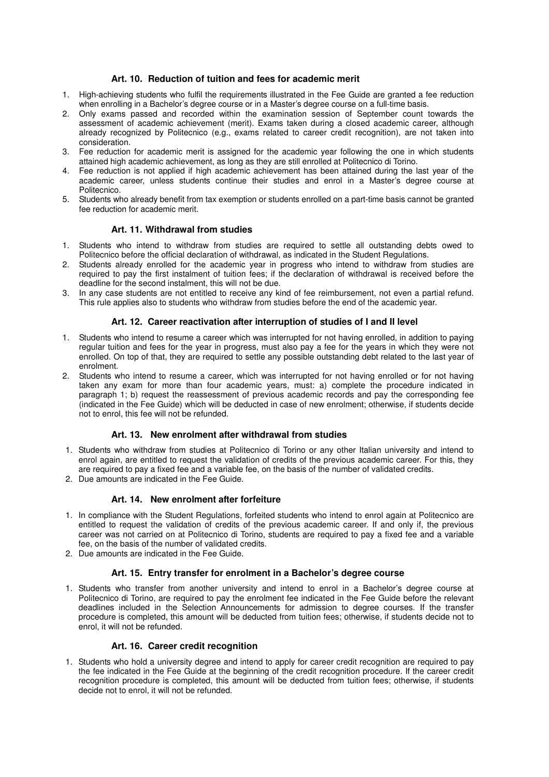### **Art. 10. Reduction of tuition and fees for academic merit**

- 1. High-achieving students who fulfil the requirements illustrated in the Fee Guide are granted a fee reduction when enrolling in a Bachelor's degree course or in a Master's degree course on a full-time basis.
- 2. Only exams passed and recorded within the examination session of September count towards the assessment of academic achievement (merit). Exams taken during a closed academic career, although already recognized by Politecnico (e.g., exams related to career credit recognition), are not taken into consideration.
- 3. Fee reduction for academic merit is assigned for the academic year following the one in which students attained high academic achievement, as long as they are still enrolled at Politecnico di Torino.
- 4. Fee reduction is not applied if high academic achievement has been attained during the last year of the academic career, unless students continue their studies and enrol in a Master's degree course at **Politecnico**
- 5. Students who already benefit from tax exemption or students enrolled on a part-time basis cannot be granted fee reduction for academic merit.

#### **Art. 11. Withdrawal from studies**

- 1. Students who intend to withdraw from studies are required to settle all outstanding debts owed to Politecnico before the official declaration of withdrawal, as indicated in the Student Regulations.
- 2. Students already enrolled for the academic year in progress who intend to withdraw from studies are required to pay the first instalment of tuition fees; if the declaration of withdrawal is received before the deadline for the second instalment, this will not be due.
- 3. In any case students are not entitled to receive any kind of fee reimbursement, not even a partial refund. This rule applies also to students who withdraw from studies before the end of the academic year.

#### **Art. 12. Career reactivation after interruption of studies of I and II level**

- 1. Students who intend to resume a career which was interrupted for not having enrolled, in addition to paying regular tuition and fees for the year in progress, must also pay a fee for the years in which they were not enrolled. On top of that, they are required to settle any possible outstanding debt related to the last year of enrolment.
- 2. Students who intend to resume a career, which was interrupted for not having enrolled or for not having taken any exam for more than four academic years, must: a) complete the procedure indicated in paragraph 1; b) request the reassessment of previous academic records and pay the corresponding fee (indicated in the Fee Guide) which will be deducted in case of new enrolment; otherwise, if students decide not to enrol, this fee will not be refunded.

#### **Art. 13. New enrolment after withdrawal from studies**

- 1. Students who withdraw from studies at Politecnico di Torino or any other Italian university and intend to enrol again, are entitled to request the validation of credits of the previous academic career. For this, they are required to pay a fixed fee and a variable fee, on the basis of the number of validated credits.
- 2. Due amounts are indicated in the Fee Guide.

#### **Art. 14. New enrolment after forfeiture**

- 1. In compliance with the Student Regulations, forfeited students who intend to enrol again at Politecnico are entitled to request the validation of credits of the previous academic career. If and only if, the previous career was not carried on at Politecnico di Torino, students are required to pay a fixed fee and a variable fee, on the basis of the number of validated credits.
- 2. Due amounts are indicated in the Fee Guide.

#### **Art. 15. Entry transfer for enrolment in a Bachelor's degree course**

1. Students who transfer from another university and intend to enrol in a Bachelor's degree course at Politecnico di Torino, are required to pay the enrolment fee indicated in the Fee Guide before the relevant deadlines included in the Selection Announcements for admission to degree courses. If the transfer procedure is completed, this amount will be deducted from tuition fees; otherwise, if students decide not to enrol, it will not be refunded.

#### **Art. 16. Career credit recognition**

1. Students who hold a university degree and intend to apply for career credit recognition are required to pay the fee indicated in the Fee Guide at the beginning of the credit recognition procedure. If the career credit recognition procedure is completed, this amount will be deducted from tuition fees; otherwise, if students decide not to enrol, it will not be refunded.